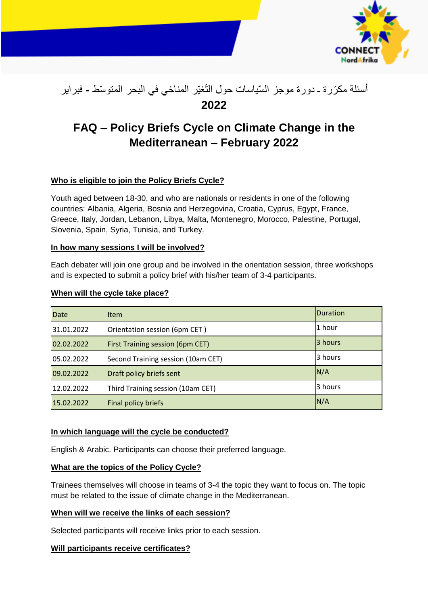

# أسئلة مكرّرة ـ دورة موجز السّياسات حول التّغيّر المناخي في البحر المتوسّط **-** فبراير **2022**

# **FAQ – Policy Briefs Cycle on Climate Change in the Mediterranean – February 2022**

# **Who is eligible to join the Policy Briefs Cycle?**

Youth aged between 18-30, and who are nationals or residents in one of the following countries: Albania, Algeria, Bosnia and Herzegovina, Croatia, Cyprus, Egypt, France, Greece, Italy, Jordan, Lebanon, Libya, Malta, Montenegro, Morocco, Palestine, Portugal, Slovenia, Spain, Syria, Tunisia, and Turkey.

## **In how many sessions I will be involved?**

Each debater will join one group and be involved in the orientation session, three workshops and is expected to submit a policy brief with his/her team of 3-4 participants.

| When will the cycle take place? |
|---------------------------------|
|---------------------------------|

| Date       | lltem                                   | Duration |
|------------|-----------------------------------------|----------|
| 31.01.2022 | Orientation session (6pm CET)           | 1 hour   |
| 02.02.2022 | <b>First Training session (6pm CET)</b> | 3 hours  |
| 05.02.2022 | Second Training session (10am CET)      | 3 hours  |
| 09.02.2022 | Draft policy briefs sent                | N/A      |
| 12.02.2022 | Third Training session (10am CET)       | 3 hours  |
| 15.02.2022 | Final policy briefs                     | N/A      |

## **In which language will the cycle be conducted?**

English & Arabic. Participants can choose their preferred language.

## **What are the topics of the Policy Cycle?**

Trainees themselves will choose in teams of 3-4 the topic they want to focus on. The topic must be related to the issue of climate change in the Mediterranean.

# **When will we receive the links of each session?**

Selected participants will receive links prior to each session.

# **Will participants receive certificates?**